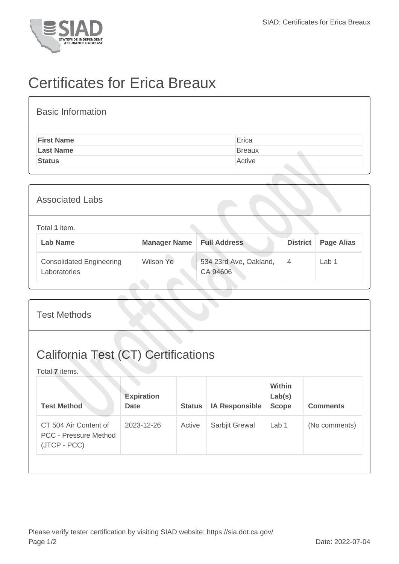

## Certificates for Erica Breaux

| <b>Basic Information</b> |               |
|--------------------------|---------------|
| <b>First Name</b>        | Erica         |
| <b>Last Name</b>         | <b>Breaux</b> |
| <b>Status</b>            | Active        |

| <b>Associated Labs</b>                          |                     |                                    |                 |                   |
|-------------------------------------------------|---------------------|------------------------------------|-----------------|-------------------|
| Total 1 item.<br><b>Lab Name</b>                | <b>Manager Name</b> | <b>Full Address</b>                | <b>District</b> | <b>Page Alias</b> |
| <b>Consolidated Engineering</b><br>Laboratories | <b>Wilson Ye</b>    | 534 23rd Ave, Oakland,<br>CA 94606 | $\overline{4}$  | Lab 1             |

| <b>California Test (CT) Certifications</b><br>Total 7 items.<br>Within<br><b>Expiration</b><br>Lab(s)<br><b>Test Method</b><br><b>IA Responsible</b><br><b>Scope</b><br><b>Date</b><br><b>Status</b> | <b>Test Methods</b> |  |  |  |  |                 |  |
|------------------------------------------------------------------------------------------------------------------------------------------------------------------------------------------------------|---------------------|--|--|--|--|-----------------|--|
|                                                                                                                                                                                                      |                     |  |  |  |  |                 |  |
|                                                                                                                                                                                                      |                     |  |  |  |  | <b>Comments</b> |  |
| CT 504 Air Content of<br>2023-12-26<br>Active<br>Sarbjit Grewal<br>Lab <sub>1</sub><br><b>PCC - Pressure Method</b><br>(JTCP - PCC)                                                                  |                     |  |  |  |  | (No comments)   |  |